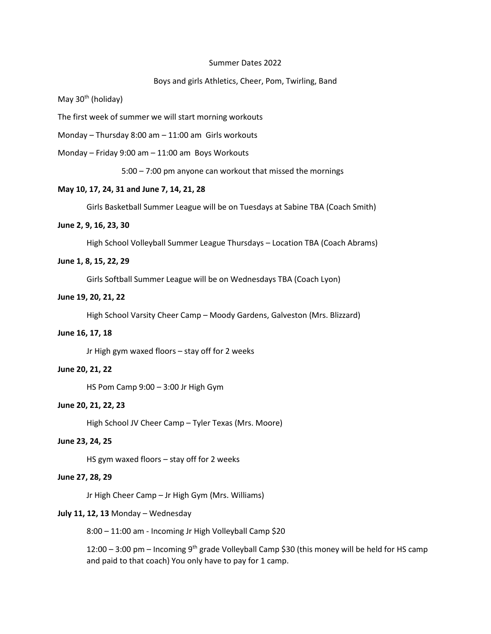#### Summer Dates 2022

## Boys and girls Athletics, Cheer, Pom, Twirling, Band

May  $30<sup>th</sup>$  (holiday)

The first week of summer we will start morning workouts

Monday – Thursday 8:00 am – 11:00 am Girls workouts

Monday – Friday 9:00 am – 11:00 am Boys Workouts

5:00 – 7:00 pm anyone can workout that missed the mornings

### **May 10, 17, 24, 31 and June 7, 14, 21, 28**

Girls Basketball Summer League will be on Tuesdays at Sabine TBA (Coach Smith)

## **June 2, 9, 16, 23, 30**

High School Volleyball Summer League Thursdays – Location TBA (Coach Abrams)

### **June 1, 8, 15, 22, 29**

Girls Softball Summer League will be on Wednesdays TBA (Coach Lyon)

#### **June 19, 20, 21, 22**

High School Varsity Cheer Camp – Moody Gardens, Galveston (Mrs. Blizzard)

### **June 16, 17, 18**

Jr High gym waxed floors – stay off for 2 weeks

## **June 20, 21, 22**

HS Pom Camp 9:00 – 3:00 Jr High Gym

### **June 20, 21, 22, 23**

High School JV Cheer Camp – Tyler Texas (Mrs. Moore)

## **June 23, 24, 25**

HS gym waxed floors – stay off for 2 weeks

### **June 27, 28, 29**

Jr High Cheer Camp – Jr High Gym (Mrs. Williams)

### **July 11, 12, 13** Monday – Wednesday

8:00 – 11:00 am - Incoming Jr High Volleyball Camp \$20

12:00 - 3:00 pm - Incoming 9<sup>th</sup> grade Volleyball Camp \$30 (this money will be held for HS camp and paid to that coach) You only have to pay for 1 camp.